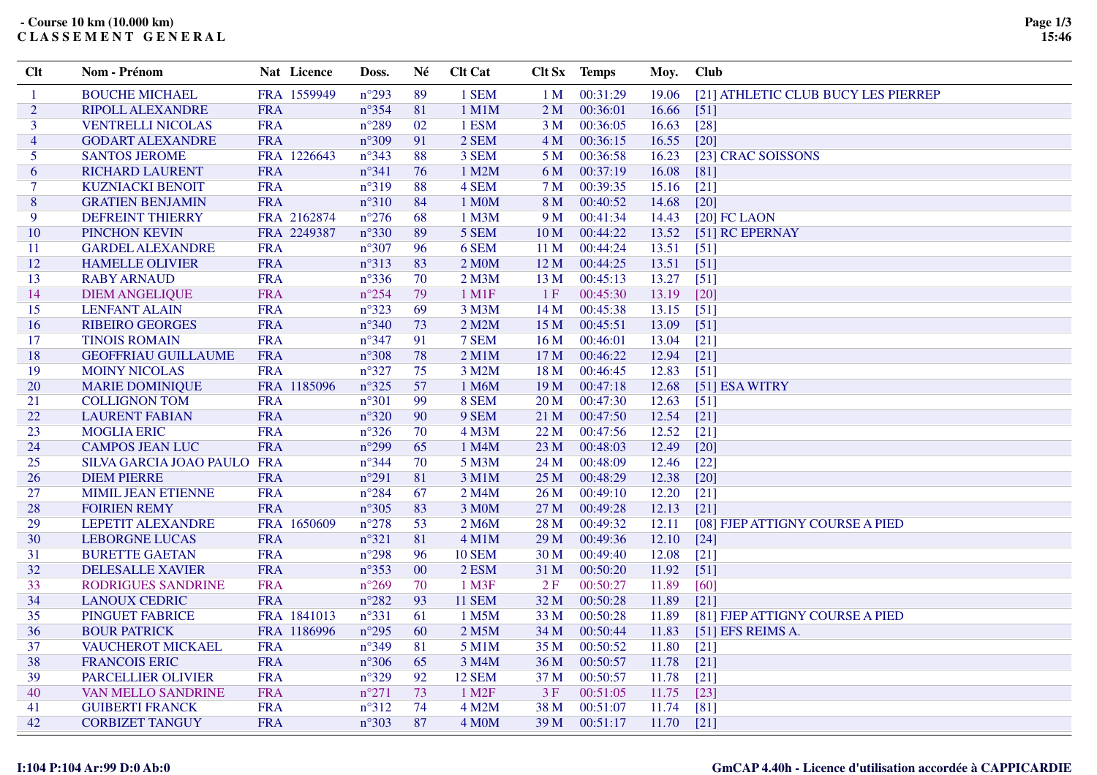## **- Course 10 km (10.000 km)C L A S S E M E N T G E N E R A L**

| Clt            | Nom - Prénom                | Nat Licence | Doss.          | Né | <b>Clt Cat</b>         |                 | Clt Sx Temps | Moy.  | <b>Club</b>                         |
|----------------|-----------------------------|-------------|----------------|----|------------------------|-----------------|--------------|-------|-------------------------------------|
| -1             | <b>BOUCHE MICHAEL</b>       | FRA 1559949 | $n^{\circ}293$ | 89 | 1 SEM                  | 1 <sub>M</sub>  | 00:31:29     | 19.06 | [21] ATHLETIC CLUB BUCY LES PIERREP |
| 2              | RIPOLL ALEXANDRE            | <b>FRA</b>  | $n^{\circ}354$ | 81 | $1$ M $1$ M            | 2 <sub>M</sub>  | 00:36:01     | 16.66 | [51]                                |
| 3              | <b>VENTRELLI NICOLAS</b>    | <b>FRA</b>  | $n^{\circ}289$ | 02 | 1 ESM                  | 3 <sub>M</sub>  | 00:36:05     | 16.63 | $[28]$                              |
| $\overline{4}$ | <b>GODART ALEXANDRE</b>     | <b>FRA</b>  | $n^{\circ}309$ | 91 | 2 SEM                  | 4M              | 00:36:15     | 16.55 | $\lceil 20 \rceil$                  |
| 5              | <b>SANTOS JEROME</b>        | FRA 1226643 | $n^{\circ}343$ | 88 | 3 SEM                  | 5 M             | 00:36:58     | 16.23 | [23] CRAC SOISSONS                  |
| 6              | <b>RICHARD LAURENT</b>      | <b>FRA</b>  | $n^{\circ}341$ | 76 | 1 M2M                  | 6 M             | 00:37:19     | 16.08 | [81]                                |
| $\tau$         | <b>KUZNIACKI BENOIT</b>     | <b>FRA</b>  | $n^{\circ}319$ | 88 | 4 SEM                  | 7 M             | 00:39:35     | 15.16 | $[21]$                              |
| 8              | <b>GRATIEN BENJAMIN</b>     | <b>FRA</b>  | $n^{\circ}310$ | 84 | 1 M0M                  | 8 M             | 00:40:52     | 14.68 | $[20]$                              |
| 9              | <b>DEFREINT THIERRY</b>     | FRA 2162874 | $n^{\circ}276$ | 68 | 1 M3M                  | 9 M             | 00:41:34     | 14.43 | $[20]$ FC LAON                      |
| 10             | PINCHON KEVIN               | FRA 2249387 | $n^{\circ}330$ | 89 | 5 SEM                  | 10 <sub>M</sub> | 00:44:22     | 13.52 | [51] RC EPERNAY                     |
| 11             | <b>GARDEL ALEXANDRE</b>     | <b>FRA</b>  | $n^{\circ}307$ | 96 | 6 SEM                  | 11 <sub>M</sub> | 00:44:24     | 13.51 | $[51]$                              |
| 12             | <b>HAMELLE OLIVIER</b>      | <b>FRA</b>  | $n^{\circ}313$ | 83 | 2 M0M                  | 12 M            | 00:44:25     | 13.51 | $[51]$                              |
| 13             | <b>RABY ARNAUD</b>          | <b>FRA</b>  | $n^{\circ}336$ | 70 | $2$ M $3M$             | 13 <sub>M</sub> | 00:45:13     | 13.27 | $[51]$                              |
| 14             | <b>DIEM ANGELIQUE</b>       | <b>FRA</b>  | $n^{\circ}254$ | 79 | $1$ M <sub>1</sub> $F$ | 1F              | 00:45:30     | 13.19 | $[20]$                              |
| 15             | <b>LENFANT ALAIN</b>        | <b>FRA</b>  | $n^{\circ}323$ | 69 | 3 M3M                  | 14M             | 00:45:38     | 13.15 | [51]                                |
| 16             | <b>RIBEIRO GEORGES</b>      | <b>FRA</b>  | $n^{\circ}340$ | 73 | 2 M2M                  | 15 M            | 00:45:51     | 13.09 | $[51]$                              |
| 17             | <b>TINOIS ROMAIN</b>        | <b>FRA</b>  | $n^{\circ}347$ | 91 | 7 SEM                  | 16 <sub>M</sub> | 00:46:01     | 13.04 | $[21]$                              |
| 18             | <b>GEOFFRIAU GUILLAUME</b>  | <b>FRA</b>  | $n^{\circ}308$ | 78 | $2$ M1M                | 17 M            | 00:46:22     | 12.94 | $[21]$                              |
| 19             | <b>MOINY NICOLAS</b>        | <b>FRA</b>  | $n^{\circ}327$ | 75 | 3 M2M                  | 18 M            | 00:46:45     | 12.83 | $[51]$                              |
| 20             | <b>MARIE DOMINIQUE</b>      | FRA 1185096 | $n^{\circ}325$ | 57 | 1 M6M                  | 19M             | 00:47:18     | 12.68 | [51] ESA WITRY                      |
| 21             | <b>COLLIGNON TOM</b>        | <b>FRA</b>  | $n^{\circ}301$ | 99 | 8 SEM                  | 20 <sub>M</sub> | 00:47:30     | 12.63 | $[51]$                              |
| 22             | <b>LAURENT FABIAN</b>       | <b>FRA</b>  | $n^{\circ}320$ | 90 | 9 SEM                  | 21 M            | 00:47:50     | 12.54 | $[21]$                              |
| 23             | <b>MOGLIA ERIC</b>          | <b>FRA</b>  | $n^{\circ}326$ | 70 | 4 M3M                  | 22M             | 00:47:56     | 12.52 | $[21]$                              |
| 24             | <b>CAMPOS JEAN LUC</b>      | <b>FRA</b>  | $n^{\circ}299$ | 65 | 1 M4M                  | 23 <sub>M</sub> | 00:48:03     | 12.49 | $[20]$                              |
| 25             | SILVA GARCIA JOAO PAULO FRA |             | $n^{\circ}344$ | 70 | 5 M3M                  | 24 M            | 00:48:09     | 12.46 | $[22]$                              |
| 26             | <b>DIEM PIERRE</b>          | <b>FRA</b>  | $n^{\circ}291$ | 81 | 3 M1M                  | 25 <sub>M</sub> | 00:48:29     | 12.38 | $[20]$                              |
| 27             | <b>MIMIL JEAN ETIENNE</b>   | <b>FRA</b>  | $n^{\circ}284$ | 67 | 2 M4M                  | 26 M            | 00:49:10     | 12.20 | $[21]$                              |
| 28             | <b>FOIRIEN REMY</b>         | <b>FRA</b>  | $n^{\circ}305$ | 83 | 3 M0M                  | 27 M            | 00:49:28     | 12.13 | $[21]$                              |
| 29             | <b>LEPETIT ALEXANDRE</b>    | FRA 1650609 | $n^{\circ}278$ | 53 | 2 M6M                  | 28 M            | 00:49:32     | 12.11 | [08] FJEP ATTIGNY COURSE A PIED     |
| 30             | <b>LEBORGNE LUCAS</b>       | <b>FRA</b>  | $n^{\circ}321$ | 81 | $4$ M1M                | 29 M            | 00:49:36     | 12.10 | $[24]$                              |
| 31             | <b>BURETTE GAETAN</b>       | <b>FRA</b>  | $n^{\circ}298$ | 96 | <b>10 SEM</b>          | 30 <sub>M</sub> | 00:49:40     | 12.08 | $[21]$                              |
| 32             | <b>DELESALLE XAVIER</b>     | <b>FRA</b>  | $n^{\circ}353$ | 00 | 2 ESM                  | 31 M            | 00:50:20     | 11.92 | $[51]$                              |
| 33             | RODRIGUES SANDRINE          | <b>FRA</b>  | $n^{\circ}269$ | 70 | $1$ M3F                | 2F              | 00:50:27     | 11.89 | [60]                                |
| 34             | <b>LANOUX CEDRIC</b>        | <b>FRA</b>  | $n^{\circ}282$ | 93 | <b>11 SEM</b>          | 32 M            | 00:50:28     | 11.89 | $[21]$                              |
| 35             | PINGUET FABRICE             | FRA 1841013 | $n^{\circ}331$ | 61 | 1 M5M                  | 33 M            | 00:50:28     | 11.89 | [81] FJEP ATTIGNY COURSE A PIED     |
| 36             | <b>BOUR PATRICK</b>         | FRA 1186996 | $n^{\circ}295$ | 60 | 2 M5M                  | 34 M            | 00:50:44     | 11.83 | [51] EFS REIMS A.                   |
| 37             | VAUCHEROT MICKAEL           | <b>FRA</b>  | $n^{\circ}349$ | 81 | 5 M1M                  | 35 M            | 00:50:52     | 11.80 | $[21]$                              |
| 38             | <b>FRANCOIS ERIC</b>        | <b>FRA</b>  | $n^{\circ}306$ | 65 | 3 M4M                  | 36 M            | 00:50:57     | 11.78 | $[21]$                              |
| 39             | <b>PARCELLIER OLIVIER</b>   | <b>FRA</b>  | $n^{\circ}329$ | 92 | <b>12 SEM</b>          | 37 M            | 00:50:57     | 11.78 | $[21]$                              |
| 40             | VAN MELLO SANDRINE          | <b>FRA</b>  | $n^{\circ}271$ | 73 | $1$ M <sub>2</sub> $F$ | 3F              | 00:51:05     | 11.75 | $[23]$                              |
| 41             | <b>GUIBERTI FRANCK</b>      | <b>FRA</b>  | $n^{\circ}312$ | 74 | 4 M2M                  | 38 M            | 00:51:07     | 11.74 | $[81]$                              |
| 42             | <b>CORBIZET TANGUY</b>      | <b>FRA</b>  | $n^{\circ}303$ | 87 | 4 M <sub>O</sub> M     | 39 M            | 00:51:17     | 11.70 | $[21]$                              |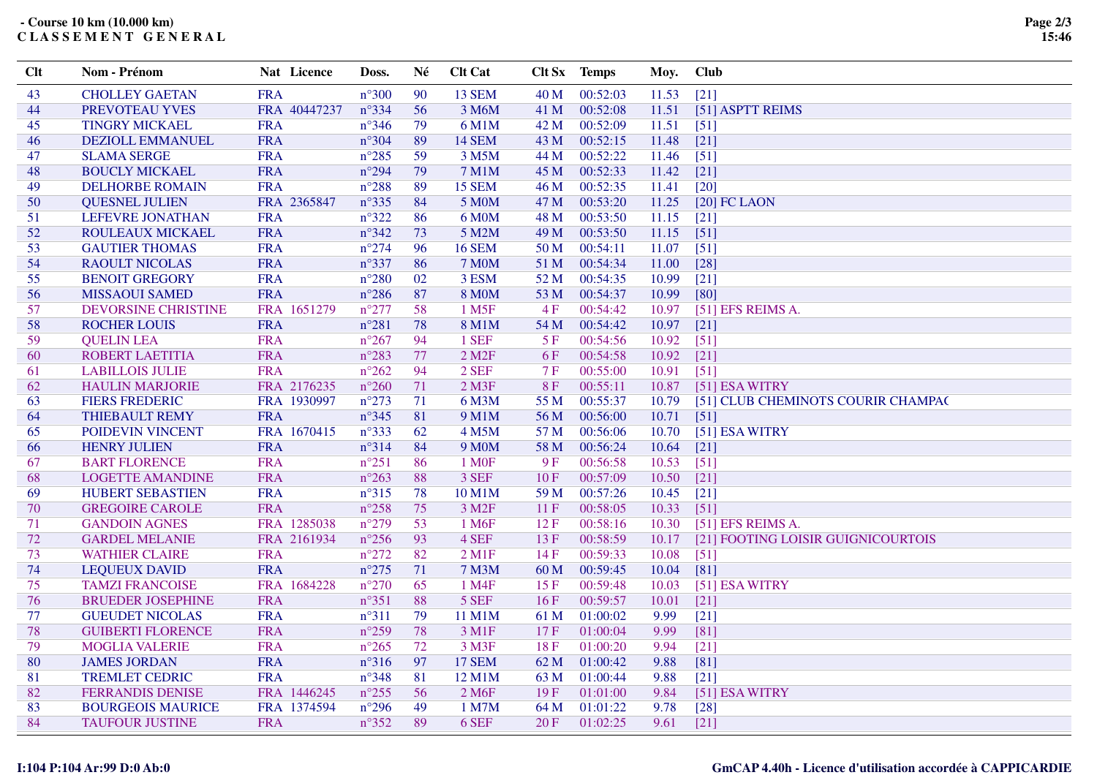**- Course 10 km (10.000 km)C L A S S E M E N T G E N E R A L**

| 90<br>00:52:03<br>$[21]$<br><b>CHOLLEY GAETAN</b><br><b>FRA</b><br>$n^{\circ}300$<br><b>13 SEM</b><br>40 M<br>11.53<br>43<br>PREVOTEAU YVES<br>$n^{\circ}334$<br>56<br>00:52:08<br>[51] ASPTT REIMS<br>FRA 40447237<br>3 M6M<br>41 M<br>11.51<br>44<br><b>FRA</b><br>$n^{\circ}346$<br>00:52:09<br><b>TINGRY MICKAEL</b><br>79<br>6 M1M<br>42 M<br>11.51<br>$[51]$<br>45<br>00:52:15<br><b>DEZIOLL EMMANUEL</b><br><b>FRA</b><br>$n^{\circ}304$<br>89<br><b>14 SEM</b><br>43 M<br>11.48<br>$[21]$<br>46<br><b>FRA</b><br><b>SLAMA SERGE</b><br>$n^{\circ}285$<br>59<br>3 M5M<br>44 M<br>00:52:22<br>11.46<br>$[51]$<br>47<br><b>FRA</b><br>$n^{\circ}294$<br>79<br><b>7 M1M</b><br>00:52:33<br>11.42<br><b>BOUCLY MICKAEL</b><br>45 M<br>$[21]$<br>48<br><b>FRA</b><br>$n^{\circ}288$<br><b>15 SEM</b><br>46 M<br>00:52:35<br>11.41<br>$[20]$<br>49<br><b>DELHORBE ROMAIN</b><br>89 |  |
|-------------------------------------------------------------------------------------------------------------------------------------------------------------------------------------------------------------------------------------------------------------------------------------------------------------------------------------------------------------------------------------------------------------------------------------------------------------------------------------------------------------------------------------------------------------------------------------------------------------------------------------------------------------------------------------------------------------------------------------------------------------------------------------------------------------------------------------------------------------------------------------|--|
|                                                                                                                                                                                                                                                                                                                                                                                                                                                                                                                                                                                                                                                                                                                                                                                                                                                                                     |  |
|                                                                                                                                                                                                                                                                                                                                                                                                                                                                                                                                                                                                                                                                                                                                                                                                                                                                                     |  |
|                                                                                                                                                                                                                                                                                                                                                                                                                                                                                                                                                                                                                                                                                                                                                                                                                                                                                     |  |
|                                                                                                                                                                                                                                                                                                                                                                                                                                                                                                                                                                                                                                                                                                                                                                                                                                                                                     |  |
|                                                                                                                                                                                                                                                                                                                                                                                                                                                                                                                                                                                                                                                                                                                                                                                                                                                                                     |  |
|                                                                                                                                                                                                                                                                                                                                                                                                                                                                                                                                                                                                                                                                                                                                                                                                                                                                                     |  |
|                                                                                                                                                                                                                                                                                                                                                                                                                                                                                                                                                                                                                                                                                                                                                                                                                                                                                     |  |
| FRA 2365847<br>$n^{\circ}335$<br>84<br>00:53:20<br><b>QUESNEL JULIEN</b><br>5 M <sub>0</sub> M<br>47 M<br>11.25<br>$[20]$ FC LAON<br>50                                                                                                                                                                                                                                                                                                                                                                                                                                                                                                                                                                                                                                                                                                                                             |  |
| $n^{\circ}322$<br>00:53:50<br><b>LEFEVRE JONATHAN</b><br><b>FRA</b><br>86<br>6 M0M<br>48 M<br>11.15<br>$[21]$<br>51                                                                                                                                                                                                                                                                                                                                                                                                                                                                                                                                                                                                                                                                                                                                                                 |  |
| <b>FRA</b><br>$n^{\circ}342$<br>73<br>5 M2M<br>49 M<br>00:53:50<br>11.15<br>$[51]$<br>52<br>ROULEAUX MICKAEL                                                                                                                                                                                                                                                                                                                                                                                                                                                                                                                                                                                                                                                                                                                                                                        |  |
| $n^{\circ}274$<br>53<br><b>GAUTIER THOMAS</b><br><b>FRA</b><br>96<br><b>16 SEM</b><br>50 M<br>00:54:11<br>11.07<br>$[51]$                                                                                                                                                                                                                                                                                                                                                                                                                                                                                                                                                                                                                                                                                                                                                           |  |
| <b>FRA</b><br>$n^{\circ}337$<br>$[28]$<br>54<br><b>RAOULT NICOLAS</b><br>86<br><b>7 M0M</b><br>51 M<br>00:54:34<br>11.00                                                                                                                                                                                                                                                                                                                                                                                                                                                                                                                                                                                                                                                                                                                                                            |  |
| <b>FRA</b><br>$n^{\circ}280$<br><b>BENOIT GREGORY</b><br>02<br>3 ESM<br>52 M<br>00:54:35<br>10.99<br>$[21]$<br>55                                                                                                                                                                                                                                                                                                                                                                                                                                                                                                                                                                                                                                                                                                                                                                   |  |
| <b>FRA</b><br>$n^{\circ}286$<br>87<br><b>8 MOM</b><br>53 M<br>00:54:37<br>10.99<br>[80]<br><b>MISSAOUI SAMED</b><br>56                                                                                                                                                                                                                                                                                                                                                                                                                                                                                                                                                                                                                                                                                                                                                              |  |
| $n^{\circ}277$<br>FRA 1651279<br>58<br>1 M <sub>5F</sub><br>4F<br>00:54:42<br>[51] EFS REIMS A.<br>57<br><b>DEVORSINE CHRISTINE</b><br>10.97                                                                                                                                                                                                                                                                                                                                                                                                                                                                                                                                                                                                                                                                                                                                        |  |
| <b>ROCHER LOUIS</b><br><b>FRA</b><br>$n^{\circ}281$<br>78<br><b>8 M1M</b><br>54 M<br>00:54:42<br>10.97<br>$[21]$<br>58                                                                                                                                                                                                                                                                                                                                                                                                                                                                                                                                                                                                                                                                                                                                                              |  |
| <b>FRA</b><br>$n^{\circ}267$<br>1 SEF<br>00:54:56<br>10.92<br><b>QUELIN LEA</b><br>94<br>5F<br>$[51]$<br>59                                                                                                                                                                                                                                                                                                                                                                                                                                                                                                                                                                                                                                                                                                                                                                         |  |
| ROBERT LAETITIA<br><b>FRA</b><br>$n^{\circ}283$<br>77<br>$2$ M <sub>2</sub> $F$<br>00:54:58<br>10.92<br>$[21]$<br>6 F<br>60                                                                                                                                                                                                                                                                                                                                                                                                                                                                                                                                                                                                                                                                                                                                                         |  |
| <b>FRA</b><br>$n^{\circ}262$<br>2 SEF<br>7F<br>00:55:00<br><b>LABILLOIS JULIE</b><br>94<br>10.91<br>$[51]$<br>61                                                                                                                                                                                                                                                                                                                                                                                                                                                                                                                                                                                                                                                                                                                                                                    |  |
| FRA 2176235<br>$n^{\circ}260$<br>71<br><b>8F</b><br>00:55:11<br><b>HAULIN MARJORIE</b><br>$2$ M3F<br>10.87<br>[51] ESA WITRY<br>62                                                                                                                                                                                                                                                                                                                                                                                                                                                                                                                                                                                                                                                                                                                                                  |  |
| $n^{\circ}273$<br>55 M<br>00:55:37<br><b>FIERS FREDERIC</b><br>FRA 1930997<br>71<br>6 M3M<br>10.79<br>[51] CLUB CHEMINOTS COURIR CHAMPAC<br>63                                                                                                                                                                                                                                                                                                                                                                                                                                                                                                                                                                                                                                                                                                                                      |  |
| <b>FRA</b><br>$n^{\circ}345$<br>81<br>9 M1M<br>00:56:00<br>64<br><b>THIEBAULT REMY</b><br>56 M<br>10.71<br>[51]                                                                                                                                                                                                                                                                                                                                                                                                                                                                                                                                                                                                                                                                                                                                                                     |  |
| FRA 1670415<br>POIDEVIN VINCENT<br>$n^{\circ}333$<br>62<br>4 M5M<br>57 M<br>00:56:06<br>10.70<br>[51] ESA WITRY<br>65                                                                                                                                                                                                                                                                                                                                                                                                                                                                                                                                                                                                                                                                                                                                                               |  |
| <b>FRA</b><br>84<br><b>HENRY JULIEN</b><br>n°314<br>9 M <sub>0</sub> M<br>58 M<br>00:56:24<br>10.64<br>$[21]$<br>66                                                                                                                                                                                                                                                                                                                                                                                                                                                                                                                                                                                                                                                                                                                                                                 |  |
| <b>BART FLORENCE</b><br><b>FRA</b><br>$n^{\circ}251$<br>9F<br>00:56:58<br>86<br>1 M <sub>OF</sub><br>10.53<br>$[51]$<br>67                                                                                                                                                                                                                                                                                                                                                                                                                                                                                                                                                                                                                                                                                                                                                          |  |
| <b>FRA</b><br>$n^{\circ}263$<br>88<br>3 SEF<br>10F<br>00:57:09<br>10.50<br>$[21]$<br>68<br><b>LOGETTE AMANDINE</b>                                                                                                                                                                                                                                                                                                                                                                                                                                                                                                                                                                                                                                                                                                                                                                  |  |
| <b>FRA</b><br>$n^{\circ}315$<br>78<br>00:57:26<br><b>HUBERT SEBASTIEN</b><br>10 M1M<br>59 M<br>10.45<br>$[21]$<br>69                                                                                                                                                                                                                                                                                                                                                                                                                                                                                                                                                                                                                                                                                                                                                                |  |
| <b>FRA</b><br>$n^{\circ}258$<br>3 M <sub>2F</sub><br>00:58:05<br>$[51]$<br><b>GREGOIRE CAROLE</b><br>75<br>11F<br>10.33<br>70                                                                                                                                                                                                                                                                                                                                                                                                                                                                                                                                                                                                                                                                                                                                                       |  |
| $n^{\circ}279$<br>FRA 1285038<br>00:58:16<br><b>GANDOIN AGNES</b><br>53<br>1 M6F<br>12F<br>10.30<br>[51] EFS REIMS A.<br>71                                                                                                                                                                                                                                                                                                                                                                                                                                                                                                                                                                                                                                                                                                                                                         |  |
| $n^{\circ}256$<br>93<br>4 SEF<br><b>GARDEL MELANIE</b><br>FRA 2161934<br>13F<br>00:58:59<br>[21] FOOTING LOISIR GUIGNICOURTOIS<br>72<br>10.17                                                                                                                                                                                                                                                                                                                                                                                                                                                                                                                                                                                                                                                                                                                                       |  |
| $n^{\circ}272$<br><b>FRA</b><br>82<br>00:59:33<br>10.08<br><b>WATHIER CLAIRE</b><br>$2$ M <sub>1</sub> F<br>14F<br>$[51]$<br>73                                                                                                                                                                                                                                                                                                                                                                                                                                                                                                                                                                                                                                                                                                                                                     |  |
| <b>FRA</b><br>$n^{\circ}275$<br>74<br><b>LEQUEUX DAVID</b><br>71<br><b>7 M3M</b><br>60 M<br>00:59:45<br>10.04<br>$[81]$                                                                                                                                                                                                                                                                                                                                                                                                                                                                                                                                                                                                                                                                                                                                                             |  |
| 75<br>FRA 1684228<br>$n^{\circ}270$<br>65<br>1 M4F<br>15F<br>00:59:48<br>10.03<br>[51] ESA WITRY<br><b>TAMZI FRANCOISE</b>                                                                                                                                                                                                                                                                                                                                                                                                                                                                                                                                                                                                                                                                                                                                                          |  |
| <b>FRA</b><br><b>BRUEDER JOSEPHINE</b><br>$n^{\circ}351$<br>88<br>5 SEF<br>16F<br>00:59:57<br>$[21]$<br>76<br>10.01                                                                                                                                                                                                                                                                                                                                                                                                                                                                                                                                                                                                                                                                                                                                                                 |  |
| <b>FRA</b><br>$n^{\circ}311$<br>11 M1M<br>01:00:02<br>9.99<br>$[21]$<br>77<br><b>GUEUDET NICOLAS</b><br>79<br>61 M                                                                                                                                                                                                                                                                                                                                                                                                                                                                                                                                                                                                                                                                                                                                                                  |  |
| <b>FRA</b><br>$n^{\circ}259$<br>78<br>01:00:04<br>78<br><b>GUIBERTI FLORENCE</b><br>3 M1F<br>17F<br>9.99<br>[81]                                                                                                                                                                                                                                                                                                                                                                                                                                                                                                                                                                                                                                                                                                                                                                    |  |
| <b>FRA</b><br>$n^{\circ}265$<br>72<br>3 M3F<br>18F<br>01:00:20<br>9.94<br>$[21]$<br>79<br><b>MOGLIA VALERIE</b>                                                                                                                                                                                                                                                                                                                                                                                                                                                                                                                                                                                                                                                                                                                                                                     |  |
| <b>JAMES JORDAN</b><br><b>FRA</b><br>$n^{\circ}316$<br>97<br><b>17 SEM</b><br>62 M<br>01:00:42<br>9.88<br>$[81]$<br>80                                                                                                                                                                                                                                                                                                                                                                                                                                                                                                                                                                                                                                                                                                                                                              |  |
| <b>FRA</b><br>$n^{\circ}348$<br><b>TREMLET CEDRIC</b><br>81<br>12 M1M<br>63 M<br>01:00:44<br>$[21]$<br>81<br>9.88                                                                                                                                                                                                                                                                                                                                                                                                                                                                                                                                                                                                                                                                                                                                                                   |  |
| $n^{\circ}255$<br>82<br><b>FERRANDIS DENISE</b><br>FRA 1446245<br>56<br>2 M6F<br>19F<br>01:01:00<br>[51] ESA WITRY<br>9.84                                                                                                                                                                                                                                                                                                                                                                                                                                                                                                                                                                                                                                                                                                                                                          |  |
| <b>BOURGEOIS MAURICE</b><br>FRA 1374594<br>$n^{\circ}296$<br>49<br>1 M7M<br>64 M<br>01:01:22<br>9.78<br>83<br>$[28]$                                                                                                                                                                                                                                                                                                                                                                                                                                                                                                                                                                                                                                                                                                                                                                |  |
| 84<br><b>TAUFOUR JUSTINE</b><br><b>FRA</b><br>$n^{\circ}352$<br>89<br>6 SEF<br>20F<br>01:02:25<br>9.61<br>$[21]$                                                                                                                                                                                                                                                                                                                                                                                                                                                                                                                                                                                                                                                                                                                                                                    |  |